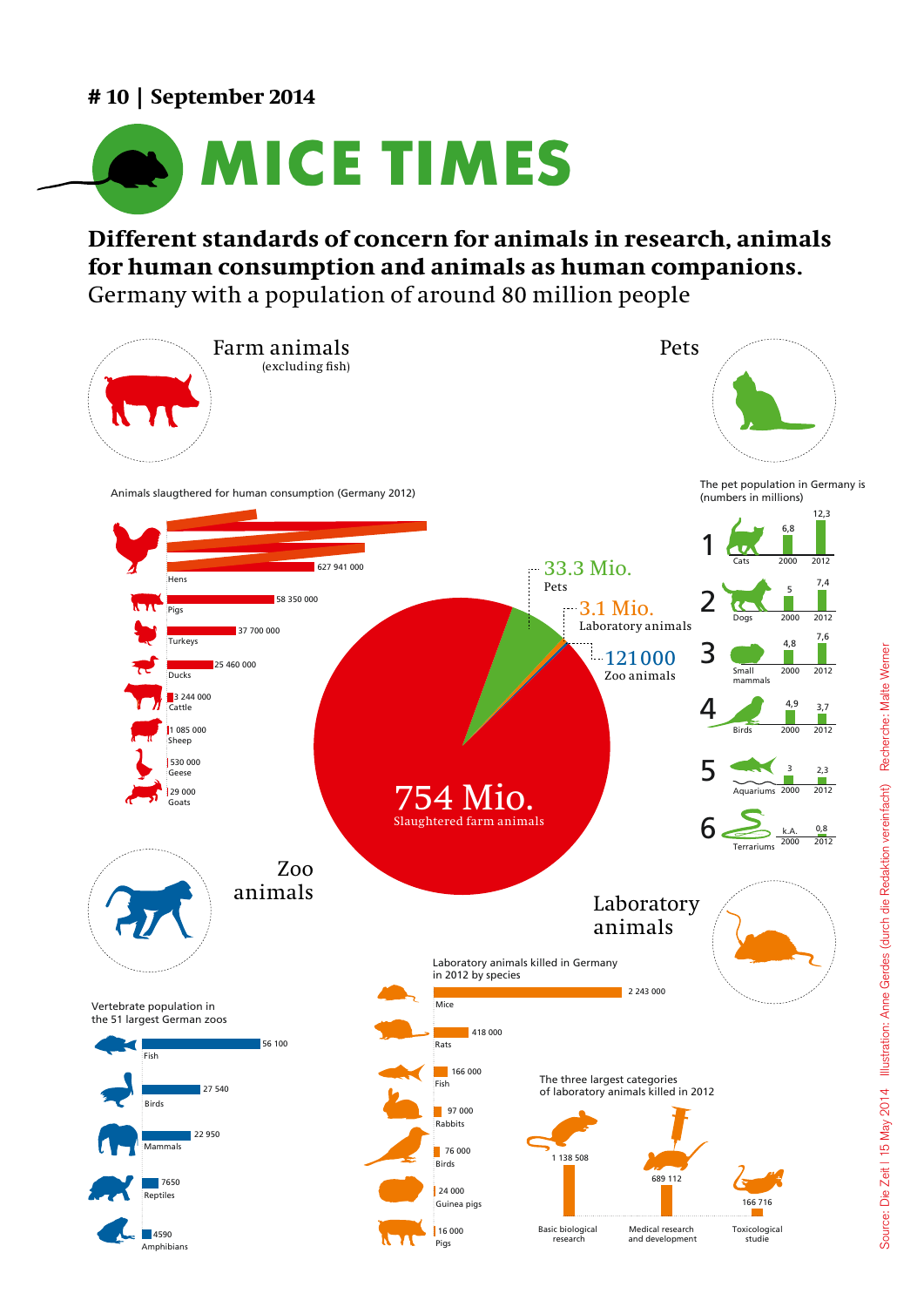## **# 10 | September 2014**



# **Different standards of concern for animals in research, animals**  for human consumption and animals as human companions. Germany with a population of around 80 million people